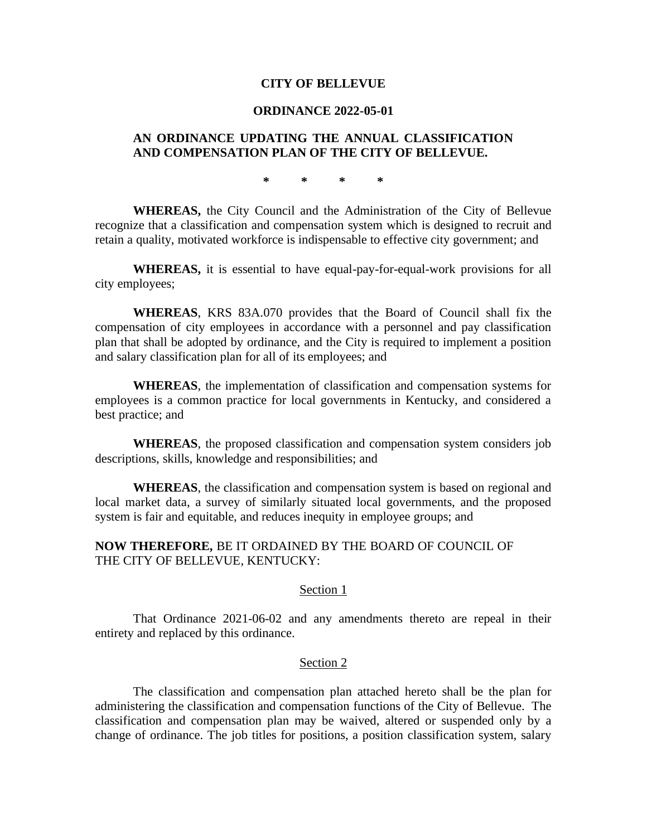## **CITY OF BELLEVUE**

# **ORDINANCE 2022-05-01**

# **AN ORDINANCE UPDATING THE ANNUAL CLASSIFICATION AND COMPENSATION PLAN OF THE CITY OF BELLEVUE.**

**\* \* \* \***

**WHEREAS,** the City Council and the Administration of the City of Bellevue recognize that a classification and compensation system which is designed to recruit and retain a quality, motivated workforce is indispensable to effective city government; and

**WHEREAS,** it is essential to have equal-pay-for-equal-work provisions for all city employees;

**WHEREAS**, KRS 83A.070 provides that the Board of Council shall fix the compensation of city employees in accordance with a personnel and pay classification plan that shall be adopted by ordinance, and the City is required to implement a position and salary classification plan for all of its employees; and

**WHEREAS**, the implementation of classification and compensation systems for employees is a common practice for local governments in Kentucky, and considered a best practice; and

**WHEREAS**, the proposed classification and compensation system considers job descriptions, skills, knowledge and responsibilities; and

**WHEREAS**, the classification and compensation system is based on regional and local market data, a survey of similarly situated local governments, and the proposed system is fair and equitable, and reduces inequity in employee groups; and

# **NOW THEREFORE,** BE IT ORDAINED BY THE BOARD OF COUNCIL OF THE CITY OF BELLEVUE, KENTUCKY:

#### Section 1

That Ordinance 2021-06-02 and any amendments thereto are repeal in their entirety and replaced by this ordinance.

## Section 2

The classification and compensation plan attached hereto shall be the plan for administering the classification and compensation functions of the City of Bellevue. The classification and compensation plan may be waived, altered or suspended only by a change of ordinance. The job titles for positions, a position classification system, salary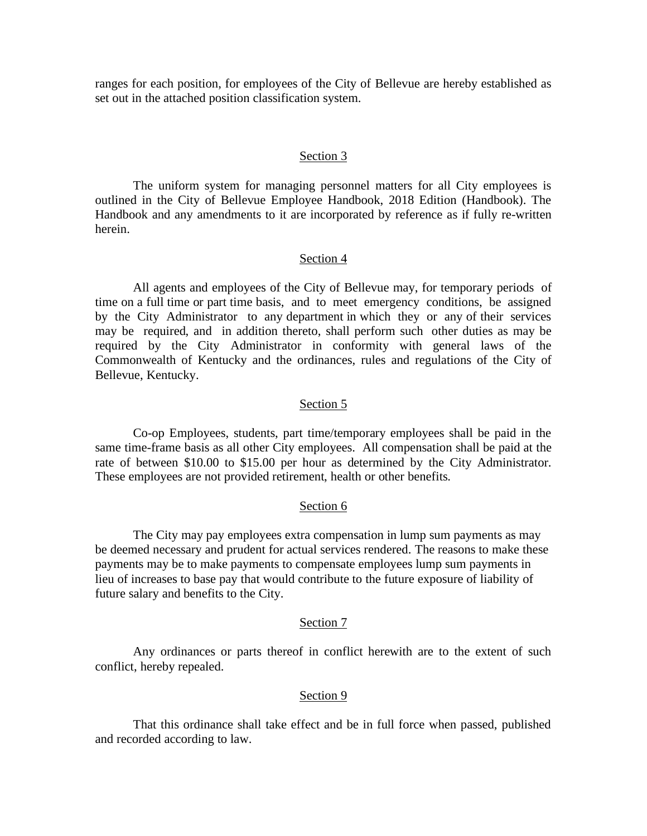ranges for each position, for employees of the City of Bellevue are hereby established as set out in the attached position classification system.

#### Section 3

The uniform system for managing personnel matters for all City employees is outlined in the City of Bellevue Employee Handbook, 2018 Edition (Handbook). The Handbook and any amendments to it are incorporated by reference as if fully re-written herein.

#### Section 4

All agents and employees of the City of Bellevue may, for temporary periods of time on a full time or part time basis, and to meet emergency conditions, be assigned by the City Administrator to any department in which they or any of their services may be required, and in addition thereto, shall perform such other duties as may be required by the City Administrator in conformity with general laws of the Commonwealth of Kentucky and the ordinances, rules and regulations of the City of Bellevue, Kentucky.

#### Section 5

Co-op Employees, students, part time/temporary employees shall be paid in the same time-frame basis as all other City employees. All compensation shall be paid at the rate of between \$10.00 to \$15.00 per hour as determined by the City Administrator. These employees are not provided retirement, health or other benefits.

## Section 6

The City may pay employees extra compensation in lump sum payments as may be deemed necessary and prudent for actual services rendered. The reasons to make these payments may be to make payments to compensate employees lump sum payments in lieu of increases to base pay that would contribute to the future exposure of liability of future salary and benefits to the City.

#### Section 7

Any ordinances or parts thereof in conflict herewith are to the extent of such conflict, hereby repealed.

#### Section 9

That this ordinance shall take effect and be in full force when passed, published and recorded according to law.